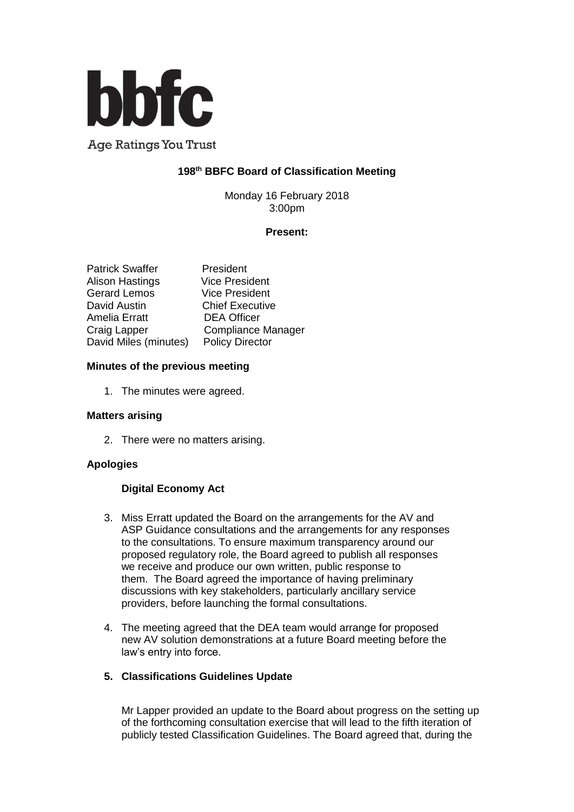

**Age Ratings You Trust** 

# **198 th BBFC Board of Classification Meeting**

Monday 16 February 2018 3:00pm

### **Present:**

| <b>Patrick Swaffer</b> | President                 |
|------------------------|---------------------------|
| <b>Alison Hastings</b> | <b>Vice President</b>     |
| <b>Gerard Lemos</b>    | <b>Vice President</b>     |
| David Austin           | <b>Chief Executive</b>    |
| <b>Amelia Erratt</b>   | <b>DEA Officer</b>        |
| Craig Lapper           | <b>Compliance Manager</b> |
| David Miles (minutes)  | <b>Policy Director</b>    |

### **Minutes of the previous meeting**

1. The minutes were agreed.

#### **Matters arising**

2. There were no matters arising.

## **Apologies**

## **Digital Economy Act**

- 3. Miss Erratt updated the Board on the arrangements for the AV and ASP Guidance consultations and the arrangements for any responses to the consultations. To ensure maximum transparency around our proposed regulatory role, the Board agreed to publish all responses we receive and produce our own written, public response to them. The Board agreed the importance of having preliminary discussions with key stakeholders, particularly ancillary service providers, before launching the formal consultations.
- 4. The meeting agreed that the DEA team would arrange for proposed new AV solution demonstrations at a future Board meeting before the law's entry into force.

#### **5. Classifications Guidelines Update**

Mr Lapper provided an update to the Board about progress on the setting up of the forthcoming consultation exercise that will lead to the fifth iteration of publicly tested Classification Guidelines. The Board agreed that, during the